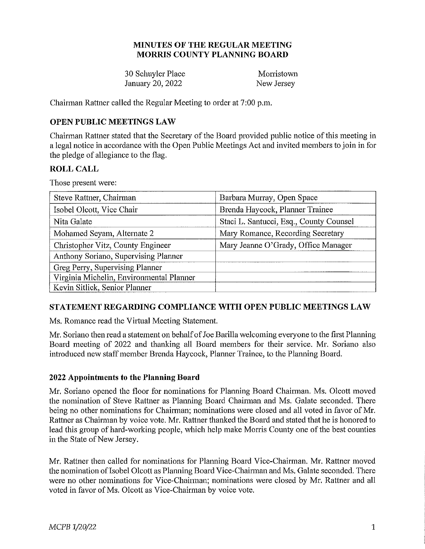### **MINUTES OF THE REGULAR MEETING MORRIS COUNTY PLANNING BOARD**

30 Schuyler Place Morristown January 20, 2022 New Jersey

Chairman Rattner called the Regular Meeting to order at 7:00 p.m.

## **OPEN PUBLIC MEETINGS LAW**

Chairman Rattner stated that the Secretaiy of the Board provided public notice of this meeting in a legal notice in accordance with the Open Public Meetings Act and invited members to join in for the pledge of allegiance to the flag.

## **ROLL CALL**

Those present were:

| Steve Rattner, Chairman                  | Barbara Murray, Open Space              |
|------------------------------------------|-----------------------------------------|
| Isobel Olcott, Vice Chair                | Brenda Haycock, Planner Trainee         |
| Nita Galate                              | Staci L. Santucci, Esq., County Counsel |
| Mohamed Seyam, Alternate 2               | Mary Romance, Recording Secretary       |
| Christopher Vitz, County Engineer        | Mary Jeanne O'Grady, Office Manager     |
| Anthony Soriano, Supervising Planner     |                                         |
| Greg Perry, Supervising Planner          |                                         |
| Virginia Michelin, Environmental Planner |                                         |
| Kevin Sitlick, Senior Planner            |                                         |

## **STATEMENT REGARDING COMPLIANCE WITH OPEN PUBLIC MEETINGS LAW**

Ms. Romance read the Virtual Meeting Statement.

Mr. Soriano then read a statement on behalf of Joe Barilla welcoming everyone to the first Planning Board meeting of 2022 and thanking all Board members for their service. Mr. Soriano also introduced new staff member Brenda Haycock, Planner Trainee, to the Planning Board.

## **2022 Appointments to the Planning Board**

Mr. Soriano opened the floor for nominations for Planning Board Chairman. Ms. Olcott moved the nomination of Steve Rattner as Planning Board Chairman and Ms. Galate seconded. There being no other nominations for Chairman; nominations were closed and all voted in favor of Mr. Rattner as Chairman by voice vote. Mr. Rattner thanked the Board and stated that he is honored to lead this group of hard-working people, which help make Morris County one of the best counties in the State of New Jersey.

Mr. Rattner then called for nominations for Planning Board Vice-Chairman. Mr. Rattner moved the nomination of Isobel Olcott as Planning Board Vice-Chairman and Ms. Galate seconded. There were no other nominations for Vice-Chairman; nominations were closed by Mr. Rattner and all voted in favor of Ms. Olcott as Vice-Chairman by voice vote.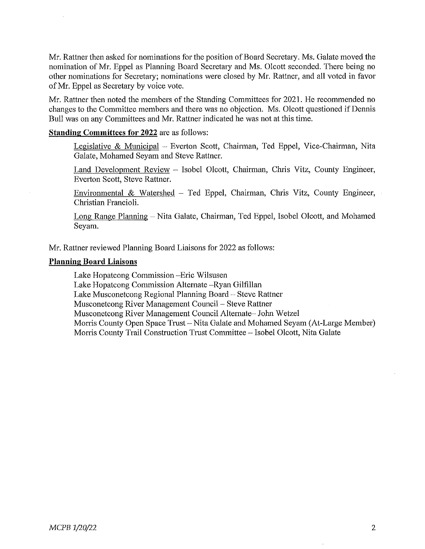Mr. Rattner then asked for nominations for the position of Board Secretary. Ms. Galate moved the nomination of Mr. Eppel as Planning Board Secretary and Ms. Olcott seconded. There being no other nominations for Secretary; nominations were closed by Mr. Rattner, and all voted in favor of Mr. Eppel as Secretary by voice vote.

Mr. Rattner then noted the members of the Standing Committees for 2021. He recommended no changes to the Committee members and there was no objection. Ms. Olcott questioned if Dennis Bull was on any Committees and Mr. Rattner indicated he was not at this time.

#### **Standing Committees for 2022** are as follows:

Legislative & Municipal - Everton Scott, Chairman, Ted Eppel, Vice-Chairman, Nita Galate, Mohamed Seyam and Steve Rattner.

Land Development Review - Isobel Olcott, Chairman, Chris Vitz, County Engineer, Everton Scott, Steve Rattner.

Environmental  $& Watershed - Ted Eppel, Chairman, Chris Vitz, County Engineering,$ Christian Francioli.

Long Range Planning - Nita Galate, Chairman, Ted Eppel, Isobel Olcott, and Mohamed Seyam.

Mr. Rattner reviewed Planning Board Liaisons for 2022 as follows:

#### **Planning Board Liaisons**

Lake Hopatcong Commission -Eric Wilsusen

Lake Hopatcong Commission Alternate -Ryan Gilfillan

Lake Musconetcong Regional Planning Board - Steve Rattner

Musconetcong River Management Council – Steve Rattner

Musconetcong River Management Council Alternate- John Wetzel

Morris County Open Space Trust- Nita Galate and Mohamed Seyam (At-Large Member)

Morris County Trail Construction Trust Committee - Isobel Olcott, Nita Galate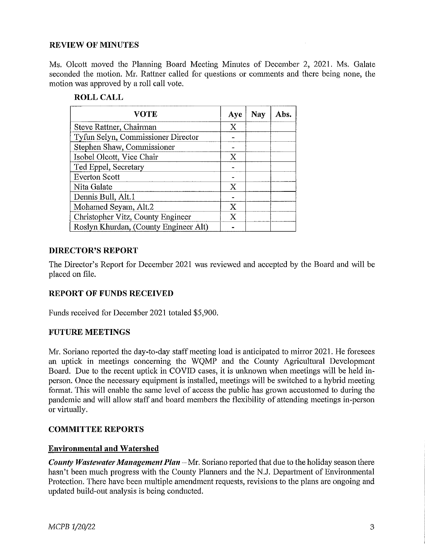### **REVIEW OF MINUTES**

Ms. Olcott moved the Planning Board Meeting Minutes of December 2, 2021. Ms. Galate seconded the motion. Mr. Rattner called for questions or comments and there being none, the motion was approved by a roll call vote.

#### **ROLL CALL**

| <b>VOTE</b>                           | Aye            | Nay | Abs. |
|---------------------------------------|----------------|-----|------|
| Steve Rattner, Chairman               | X              |     |      |
| Tyfun Selyn, Commissioner Director    |                |     |      |
| Stephen Shaw, Commissioner            |                |     |      |
| Isobel Olcott, Vice Chair             | X              |     |      |
| Ted Eppel, Secretary                  |                |     |      |
| <b>Everton Scott</b>                  |                |     |      |
| Nita Galate                           | X              |     |      |
| Dennis Bull, Alt.1                    |                |     |      |
| Mohamed Seyam, Alt.2                  | X              |     |      |
| Christopher Vitz, County Engineer     | $\overline{X}$ |     |      |
| Roslyn Khurdan, (County Engineer Alt) |                |     |      |

#### **DIRECTOR'S REPORT**

The Director's Report for December 2021 was reviewed and accepted by the Board and will be placed on file.

## **REPORT OF FUNDS RECEIVED**

Funds received for December 2021 totaled \$5,900.

#### **FUTURE MEETINGS**

Mr. Soriano reported the day-to-day staff meeting load is anticipated to mirror 2021. He foresees an uptick in meetings concerning the WQMP and the County Agricultural Development Board. Due to the recent uptick in COVID cases, it is unknown when meetings will be held inperson. Once the necessaiy equipment is installed, meetings will be switched to a hybrid meeting format. This will enable the same level of access the public has grown accustomed to during the pandemic and will allow staff and board members the flexibility of attending meetings in-person or virtually.

#### **COMMITTEE REPORTS**

## **Environmental and Watershed**

*County Wastewater Management Plan* – Mr. Soriano reported that due to the holiday season there hasn't been much progress with the County Planners and the N.J. Department of Environmental Protection. There have been multiple amendment requests, revisions to the plans are ongoing and updated build-out analysis is being conducted.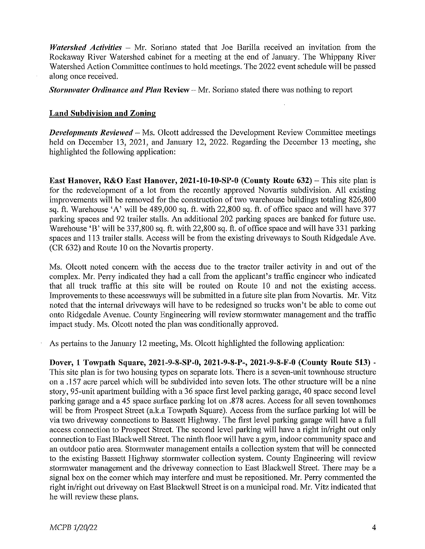*Watershed Activities* - Mr. Soriano stated that Joe Barilla received an invitation from the Rockaway River Watershed cabinet for a meeting at the end of January. The Whippany River Watershed Action Committee continues to hold meetings. The 2022 event schedule will be passed along once received.

*Stormwater Ordinance and Plan Review – Mr. Soriano stated there was nothing to report* 

#### **Land Subdivision and Zoning**

*Developments Reviewed* - Ms. Olcott addressed the Development Review Committee meetings held on December 13, 2021, and January 12, 2022. Regarding the December 13 meeting, she highlighted the following application:

**East Hanover, R&O East Hanover, 2021-10-10-SP-0 (County Route 632) – This site plan is** for the redevelopment of a lot from the recently approved Novartis subdivision. All existing improvements will be removed for the construction of two warehouse buildings totaling  $826,800$ sq. ft. Warehouse 'A' will be 489,000 sq. ft. with 22,800 sq. ft. of office space and will have 377 parking spaces and 92 trailer stalls. An additional 202 parking spaces are banked for future use. Warehouse 'B' will be 337,800 sq. ft. with 22,800 sq. ft. of office space and will have 331 parking spaces and 113 trailer stalls. Access will be from the existing driveways to South Ridgedale Ave. (CR 632) and Route 10 on the Novartis property.

Ms. Olcott noted concern with the access due to the tractor trailer activity in and out of the complex. Mr. Perry indicated they had a call from the applicant's traffic engineer who indicated that all truck traffic at this site will be routed on Route 10 and not the existing access. Improvements to these accessways will be submitted in a future site plan from Novartis. Mr. Vitz noted that the internal driveways will have to be redesigned so trucks won't be able to come out onto Ridgedale Avenue. County Engineering will review stormwater management and the traffic impact study. Ms. Olcott noted the plan was conditionally approved.

As pertains to the January 12 meeting, Ms. Olcott highlighted the following application:

**Dover, 1 Towpath Square, 2021-9-8-SP-0, 2021-9-8-P-, 2021-9-8-F-0 (County Route 513)** - This site plan is for two housing types on separate lots. There is a seven-unit townhouse structure on a .157 acre parcel which will be subdivided into seven lots. The other structure will be a nine story, 95-unit apartment building with a 36 space first level parking garage, 40 space second level parking garage and a 45 space surface parking lot on .878 acres. Access for all seven townhomes will be from Prospect Street (a.k.a Towpath Square). Access from the surface parking lot will be via two driveway connections to Bassett Highway. The first level parking garage will have a full access connection to Prospect Street. The second level parking will have a right in/right out only connection to East Blackwell Street. The ninth floor will have a gym, indoor community space and an outdoor patio area. Stormwater management entails a collection system that will be connected to the existing Bassett Highway stormwater collection system. County Engineering will review stormwater management and the driveway connection to East Blackwell Street. There may be a signal box on the corner which may interfere and must be repositioned. Mr. Perry commented the right in/right out driveway on East Blackwell Street is on a municipal road. Mr. Vitz indicated that he will review these plans.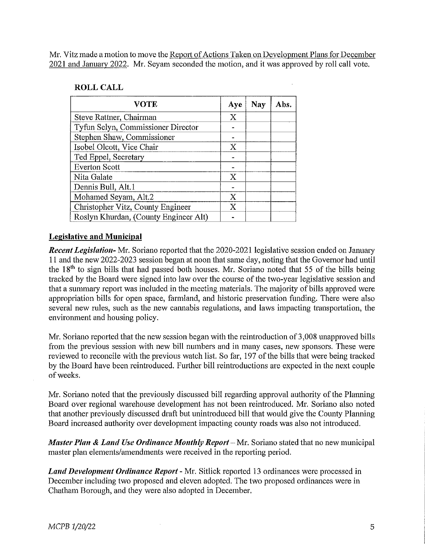Mr. Vitz made a motion to move the Report of Actions Taken on Development Plans for December 2021 and January 2022. Mr. Seyam seconded the motion, and it was approved by roll call vote.

### **ROLL CALL**

| <b>VOTE</b>                           | Aye | Nav | Abs. |
|---------------------------------------|-----|-----|------|
| Steve Rattner, Chairman               | X   |     |      |
| Tyfun Selyn, Commissioner Director    |     |     |      |
| Stephen Shaw, Commissioner            |     |     |      |
| Isobel Olcott, Vice Chair             | X   |     |      |
| Ted Eppel, Secretary                  |     |     |      |
| <b>Everton Scott</b>                  |     |     |      |
| Nita Galate                           | X   |     |      |
| Dennis Bull, Alt.1                    |     |     |      |
| Mohamed Seyam, Alt.2                  | X   |     |      |
| Christopher Vitz, County Engineer     | X   |     |      |
| Roslyn Khurdan, (County Engineer Alt) |     |     |      |

## **Legislative and Municipal**

*Recent Legislation-* Mr. Soriano reported that the 2020-2021 legislative session ended on January 11 and the new 2022-2023 session began at noon that same day, noting that the Governor had until the 18th to sign bills that had passed both houses. Mr. Soriano noted that 55 of the bills being tracked by the Board were signed into law over the course of the two-year legislative session and that a summary report was included in the meeting materials. The majority of bills approved were appropriation bills for open space, farmland, and historic preservation funding. There were also several new rules, such as the new cannabis regulations, and laws impacting transportation, the environment and housing policy.

Mr. Soriano reported that the new session began with the reintroduction of 3,008 unapproved bills from the previous session with new bill numbers and in many cases, new sponsors. These were reviewed to reconcile with the previous watch list. So far, 197 of the bills that were being tracked by the Board have been reintroduced. Further bill reintroductions are expected in the next couple ofweeks.

Mr. Soriano noted that the previously discussed bill regarding approval authority of the Planning Board over regional warehouse development has not been reintroduced. Mr. Soriano also noted that another previously discussed draft but unintroduced bill that would give the County Planning Board increased authority over development impacting county roads was also not introduced.

*Master Plan* **&** *Land Use Ordinance Monthly Report* - Mr. Soriano stated that no new municipal master plan elements/amendments were received in the reporting period.

*Land Development Ordinance Report* - Mr. Sitlick reported 13 ordinances were processed in December including two proposed and eleven adopted. The two proposed ordinances were in Chatham Borough, and they were also adopted in December.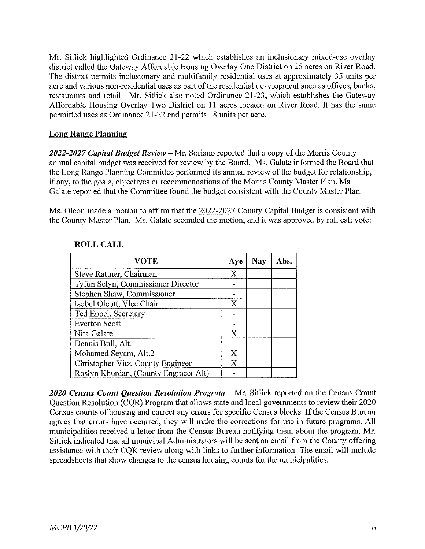Mr. Sitlick highlighted Ordinance 21-22 which establishes an inclusionary mixed-use overlay district called the Gateway Affordable Housing Overlay One District on 25 acres on River Road. The district permits inclusionary and multifamily residential uses at approximately 35 units per acre and various non-residential uses as part of the residential development such as offices, banks, restaurants and retail. Mr. Sitlick also noted Ordinance 21-23, which establishes the Gateway Affordable Housing Overlay Two District on 11 acres located on River Road. It has the same permitted uses as Ordinance 21-22 and permits 18 units per acre.

## **Long Range Planning**

2022-2027 Capital Budget Review – Mr. Soriano reported that a copy of the Morris County annual capital budget was received for review by the Board. Ms. Galate informed the Board that the Long Range Planning Committee performed its annual review of the budget for relationship, if any, to the goals, objectives or recommendations of the Morris County Master Plan. Ms. Galate reported that the Committee found the budget consistent with the County Master Plan.

Ms. Olcott made a motion to affirm that the 2022-2027 County Capital Budget is consistent with the County Master Plan. Ms. Galate seconded the motion, and it was approved by roll call vote:

| <b>VOTE</b>                           | Aye            | Nay | Abs. |
|---------------------------------------|----------------|-----|------|
| Steve Rattner, Chairman               | X              |     |      |
| Tyfun Selyn, Commissioner Director    |                |     |      |
| Stephen Shaw, Commissioner            |                |     |      |
| Isobel Olcott, Vice Chair             | X              |     |      |
| Ted Eppel, Secretary                  |                |     |      |
| <b>Everton Scott</b>                  | $\blacksquare$ |     |      |
| Nita Galate                           | X              |     |      |
| Dennis Bull, Alt.1                    |                |     |      |
| Mohamed Seyam, Alt.2                  | X              |     |      |
| Christopher Vitz, County Engineer     | X              |     |      |
| Roslyn Khurdan, (County Engineer Alt) |                |     |      |

## **ROLL CALL**

2020 Census Count Question Resolution Program – Mr. Sitlick reported on the Census Count Question Resolution (CQR) Program that allows state and local governments to review their 2020 Census counts of housing and correct any errors for specific Census blocks. If the Census Bureau agrees that errors have occurred, they will make the corrections for use in future programs. All municipalities received a letter from the Census Bureau notifying them about the program. Mr. Sitlick indicated that all municipal Administrators will be sent an email from the County offering assistance with their CQR review along with links to further information. The email will include spreadsheets that show changes to the census housing counts for the municipalities.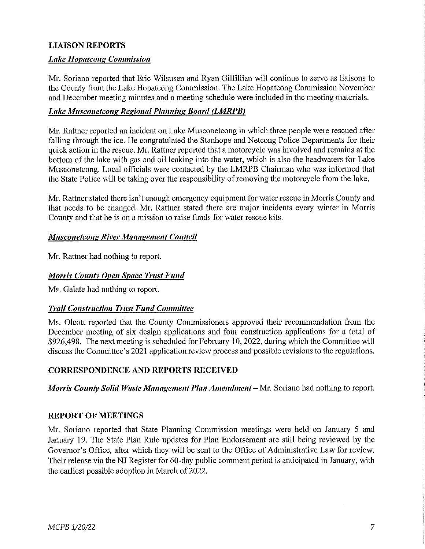## **LIAISON REPORTS**

### *Lake Hopatcong Commission*

Mr. Soriano reported that Eric Wilsusen and Ryan Gilfillian will continue to serve as liaisons to the County from the Lake Hopatcong Commission. The Lake Hopatcong Commission November and December meeting minutes and a meeting schedule were included in the meeting materials.

### **Lake Musconetcong Regional Planning Board (LMRPB)**

Mr. Rattner reported an incident on Lake Musconetcong in which three people were rescued after falling through the ice. He congratulated the Stanhope and Netcong Police Departments for their quick action in the rescue. Mr. Rattner reported that a motorcycle was involved and remains at the bottom of the lake with gas and oil leaking into the water, which is also the headwaters for Lake Musconetcong. Local officials were contacted by the LMRPB Chairman who was informed that the State Police will be taking over the responsibility of removing the motorcycle from the lake.

Mr. Rattner stated there isn't enough emergency equipment for water rescue in Morris County and that needs to be changed. Mr. Rattner stated there are major incidents every winter in Morris County and that he is on a mission to raise funds for water rescue kits.

### *Musconetcong River Management Council*

Mr. Rattner had nothing to report.

#### *Morris County Open Space Trust Fund*

Ms. Galate had nothing to report.

#### *Trail Construction Trust Fund Committee*

Ms. Olcott reported that the County Commissioners approved their recommendation from the December meeting of six design applications and four construction applications for a total of \$926,498. The next meeting is scheduled for February 10, 2022, during which the Committee will discuss the Committee's 2021 application review process and possible revisions to the regulations.

#### **CORRESPONDENCE AND REPORTS RECEIVED**

*Morris County Solid Waste Management Plan Amendment-* Mr. Soriano had nothing to report.

#### **REPORT OF MEETINGS**

Mr. Soriano reported that State Planning Commission meetings were held on Januaty 5 and January 19. The State Plan Rule updates for Plan Endorsement are still being reviewed by the Governor's Office, after which they will be sent to the Office of Administrative Law for review. Their release via the NJ Register for 60-day public comment period is anticipated in January, with the earliest possible adoption in March of 2022.